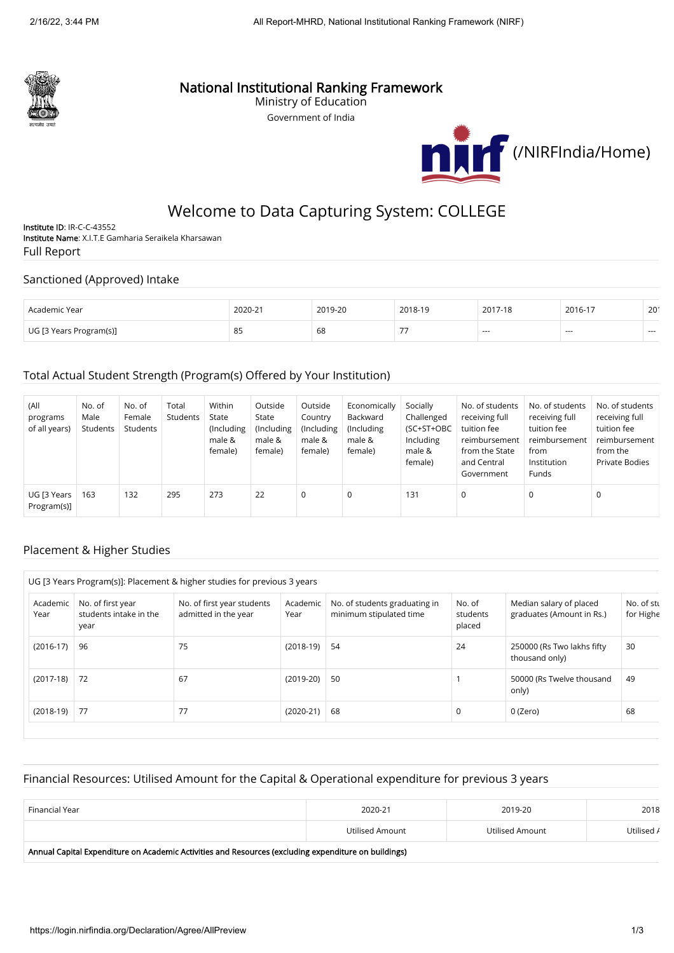

## National Institutional Ranking Framework

Ministry of Education Government of India



# Welcome to Data Capturing System: COLLEGE

Institute ID: IR-C-C-43552 Institute Name: X.I.T.E Gamharia Seraikela Kharsawan Full Report

#### Sanctioned (Approved) Intake

| Academic Year           | 2020-21 | 2010-20 | 2018-19          | 2017-18 | 2016-17 | 20 <sup>′</sup> |
|-------------------------|---------|---------|------------------|---------|---------|-----------------|
| UG [3 Years Program(s)] | 85      | 68      | $- -$<br>$\cdot$ | $- - -$ | $- - -$ | $- - -$         |

### Total Actual Student Strength (Program(s) Offered by Your Institution)

| (All<br>programs<br>of all years) | No. of<br>Male<br>Students | No. of<br>Female<br>Students | Total<br>Students | Within<br>State<br>(Including<br>male &<br>female) | Outside<br>State<br>(Including<br>male &<br>female) | Outside<br>Country<br>(Including<br>male &<br>female) | Economically<br>Backward<br>(Including)<br>male &<br>female) | Socially<br>Challenged<br>(SC+ST+OBC<br>Including<br>male &<br>female) | No. of students<br>receiving full<br>tuition fee<br>reimbursement<br>from the State<br>and Central<br>Government | No. of students<br>receiving full<br>tuition fee<br>reimbursement<br>from<br>Institution<br><b>Funds</b> | No. of students<br>receiving full<br>tuition fee<br>reimbursement<br>from the<br><b>Private Bodies</b> |
|-----------------------------------|----------------------------|------------------------------|-------------------|----------------------------------------------------|-----------------------------------------------------|-------------------------------------------------------|--------------------------------------------------------------|------------------------------------------------------------------------|------------------------------------------------------------------------------------------------------------------|----------------------------------------------------------------------------------------------------------|--------------------------------------------------------------------------------------------------------|
| UG [3 Years<br>Program(s)]        | 163                        | 132                          | 295               | 273                                                | 22                                                  | 0                                                     | $\mathbf 0$                                                  | 131                                                                    | 0                                                                                                                | $\mathbf 0$                                                                                              | 0                                                                                                      |

#### Placement & Higher Studies

|                  |                                                     | UG [3 Years Program(s)]: Placement & higher studies for previous 3 years |                  |                                                          |                              |                                                      |                         |
|------------------|-----------------------------------------------------|--------------------------------------------------------------------------|------------------|----------------------------------------------------------|------------------------------|------------------------------------------------------|-------------------------|
| Academic<br>Year | No. of first year<br>students intake in the<br>year | No. of first year students<br>admitted in the year                       | Academic<br>Year | No. of students graduating in<br>minimum stipulated time | No. of<br>students<br>placed | Median salary of placed<br>graduates (Amount in Rs.) | No. of stu<br>for Highe |
| $(2016-17)$      | 96                                                  | 75                                                                       | $(2018-19)$      | 54                                                       | 24                           | 250000 (Rs Two lakhs fifty<br>thousand only)         | 30                      |
| $(2017-18)$ 72   |                                                     | 67                                                                       | $(2019-20)$      | 50                                                       |                              | 50000 (Rs Twelve thousand<br>only)                   | 49                      |
| $(2018-19)$ 77   |                                                     | 77                                                                       | $(2020-21)$      | 68                                                       | $\mathbf 0$                  | 0 (Zero)                                             | 68                      |

#### Financial Resources: Utilised Amount for the Capital & Operational expenditure for previous 3 years

| Financial Year                                                                                                                                                                                                                 | 2020-21         | 2019-20         | 2018       |  |  |  |  |  |
|--------------------------------------------------------------------------------------------------------------------------------------------------------------------------------------------------------------------------------|-----------------|-----------------|------------|--|--|--|--|--|
|                                                                                                                                                                                                                                | Utilised Amount | Utilised Amount | Utilised / |  |  |  |  |  |
| Application Constant Composition of a sensible to a set data of an among the construction of the composition of the light set of the set of the set of the set of the set of the set of the set of the set of the set of the s |                 |                 |            |  |  |  |  |  |

Annual Capital Expenditure on Academic Activities and Resources (excluding expenditure on buildings)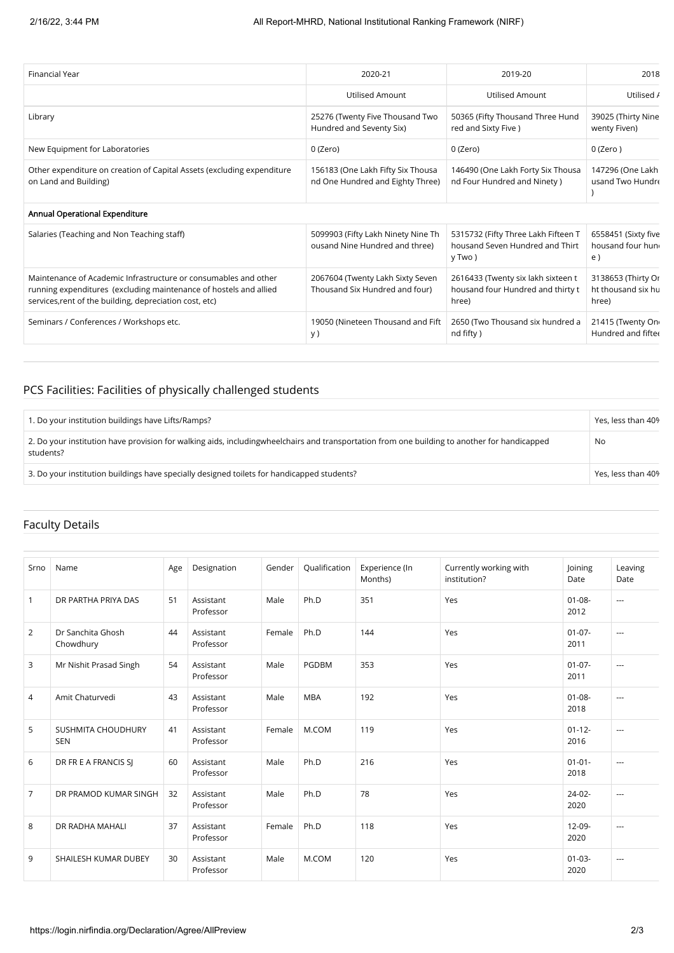| <b>Financial Year</b>                                                                                                                                                                           | 2020-21                                                               | 2019-20                                                                          | 2018                                              |
|-------------------------------------------------------------------------------------------------------------------------------------------------------------------------------------------------|-----------------------------------------------------------------------|----------------------------------------------------------------------------------|---------------------------------------------------|
|                                                                                                                                                                                                 | <b>Utilised Amount</b>                                                | <b>Utilised Amount</b>                                                           | Utilised /                                        |
| Library                                                                                                                                                                                         | 25276 (Twenty Five Thousand Two<br>Hundred and Seventy Six)           | 50365 (Fifty Thousand Three Hund<br>red and Sixty Five)                          | 39025 (Thirty Nine<br>wenty Fiven)                |
| New Equipment for Laboratories                                                                                                                                                                  | 0 (Zero)                                                              | 0 (Zero)                                                                         | $0$ (Zero)                                        |
| Other expenditure on creation of Capital Assets (excluding expenditure<br>on Land and Building)                                                                                                 | 156183 (One Lakh Fifty Six Thousa<br>nd One Hundred and Eighty Three) | 146490 (One Lakh Forty Six Thousa<br>nd Four Hundred and Ninety)                 | 147296 (One Lakh<br>usand Two Hundre              |
| Annual Operational Expenditure                                                                                                                                                                  |                                                                       |                                                                                  |                                                   |
| Salaries (Teaching and Non Teaching staff)                                                                                                                                                      | 5099903 (Fifty Lakh Ninety Nine Th<br>ousand Nine Hundred and three)  | 5315732 (Fifty Three Lakh Fifteen T<br>housand Seven Hundred and Thirt<br>y Two) | 6558451 (Sixty five<br>housand four hung<br>e)    |
| Maintenance of Academic Infrastructure or consumables and other<br>running expenditures (excluding maintenance of hostels and allied<br>services, rent of the building, depreciation cost, etc) | 2067604 (Twenty Lakh Sixty Seven<br>Thousand Six Hundred and four)    | 2616433 (Twenty six lakh sixteen t<br>housand four Hundred and thirty t<br>hree) | 3138653 (Thirty Or<br>ht thousand six hu<br>hree) |
| Seminars / Conferences / Workshops etc.                                                                                                                                                         | 19050 (Nineteen Thousand and Fift<br>y)                               | 2650 (Two Thousand six hundred a<br>nd fifty)                                    | 21415 (Twenty On<br>Hundred and fifter            |

## PCS Facilities: Facilities of physically challenged students

| 1. Do your institution buildings have Lifts/Ramps?                                                                                                          | Yes, less than 40% |
|-------------------------------------------------------------------------------------------------------------------------------------------------------------|--------------------|
| 2. Do your institution have provision for walking aids, including wheel chairs and transportation from one building to another for handicapped<br>students? | No                 |
| 3. Do your institution buildings have specially designed toilets for handicapped students?                                                                  | Yes, less than 40% |

## Faculty Details

| Srno           | Name                             | Age | Designation            | Gender | Qualification | Experience (In<br>Months) | Currently working with<br>institution? | Joining<br>Date     | Leaving<br>Date |
|----------------|----------------------------------|-----|------------------------|--------|---------------|---------------------------|----------------------------------------|---------------------|-----------------|
| $\mathbf{1}$   | DR PARTHA PRIYA DAS              | 51  | Assistant<br>Professor | Male   | Ph.D          | 351                       | Yes                                    | $01 - 08 -$<br>2012 | ---             |
| 2              | Dr Sanchita Ghosh<br>Chowdhury   | 44  | Assistant<br>Professor | Female | Ph.D          | 144                       | Yes                                    | $01 - 07 -$<br>2011 | $\cdots$        |
| 3              | Mr Nishit Prasad Singh           | 54  | Assistant<br>Professor | Male   | PGDBM         | 353                       | Yes                                    | $01-07-$<br>2011    | ---             |
| 4              | Amit Chaturvedi                  | 43  | Assistant<br>Professor | Male   | <b>MBA</b>    | 192                       | Yes                                    | $01 - 08 -$<br>2018 | ---             |
| 5              | SUSHMITA CHOUDHURY<br><b>SEN</b> | 41  | Assistant<br>Professor | Female | M.COM         | 119                       | Yes                                    | $01 - 12 -$<br>2016 | ---             |
| 6              | DR FR E A FRANCIS SJ             | 60  | Assistant<br>Professor | Male   | Ph.D          | 216                       | Yes                                    | $01 - 01 -$<br>2018 | $---$           |
| $\overline{7}$ | DR PRAMOD KUMAR SINGH            | 32  | Assistant<br>Professor | Male   | Ph.D          | 78                        | Yes                                    | $24-02-$<br>2020    | ---             |
| 8              | DR RADHA MAHALI                  | 37  | Assistant<br>Professor | Female | Ph.D          | 118                       | Yes                                    | $12 - 09 -$<br>2020 | ---             |
| 9              | SHAILESH KUMAR DUBEY             | 30  | Assistant<br>Professor | Male   | M.COM         | 120                       | Yes                                    | $01 - 03 -$<br>2020 | $---$           |